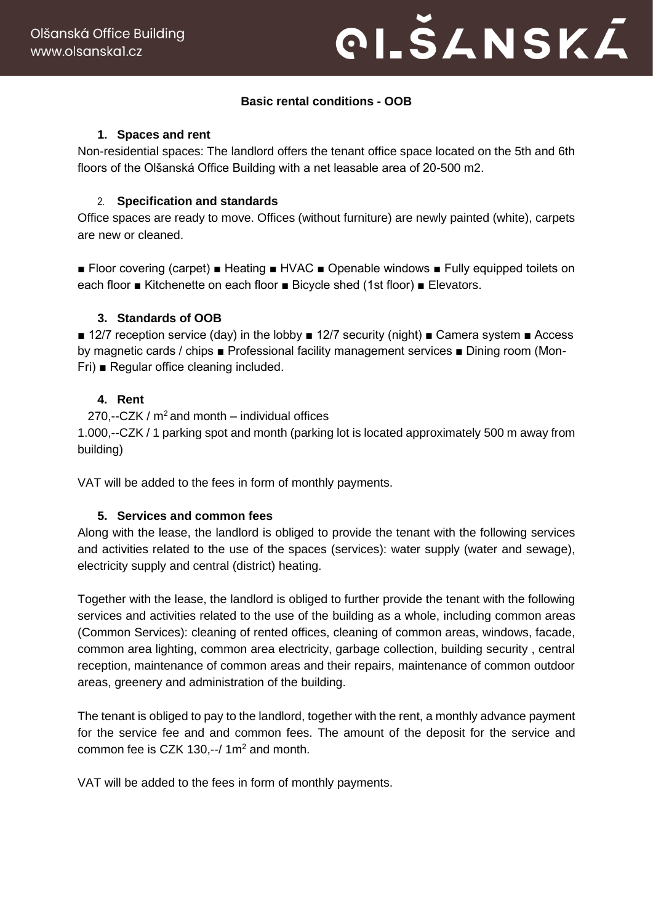# **PI.ŠANSKÁ**

## **Basic rental conditions - OOB**

## **1. Spaces and rent**

Non-residential spaces: The landlord offers the tenant office space located on the 5th and 6th floors of the Olšanská Office Building with a net leasable area of 20-500 m2.

## 2. **Specification and standards**

Office spaces are ready to move. Offices (without furniture) are newly painted (white), carpets are new or cleaned.

■ Floor covering (carpet) ■ Heating ■ HVAC ■ Openable windows ■ Fully equipped toilets on each floor ■ Kitchenette on each floor ■ Bicycle shed (1st floor) ■ Elevators.

## **3. Standards of OOB**

■ 12/7 reception service (day) in the lobby ■ 12/7 security (night) ■ Camera system ■ Access by magnetic cards / chips ■ Professional facility management services ■ Dining room (Mon-Fri) ■ Regular office cleaning included.

## **4. Rent**

270,--CZK /  $m^2$  and month – individual offices 1.000,--CZK / 1 parking spot and month (parking lot is located approximately 500 m away from building)

VAT will be added to the fees in form of monthly payments.

## **5. Services and common fees**

Along with the lease, the landlord is obliged to provide the tenant with the following services and activities related to the use of the spaces (services): water supply (water and sewage), electricity supply and central (district) heating.

Together with the lease, the landlord is obliged to further provide the tenant with the following services and activities related to the use of the building as a whole, including common areas (Common Services): cleaning of rented offices, cleaning of common areas, windows, facade, common area lighting, common area electricity, garbage collection, building security , central reception, maintenance of common areas and their repairs, maintenance of common outdoor areas, greenery and administration of the building.

The tenant is obliged to pay to the landlord, together with the rent, a monthly advance payment for the service fee and and common fees. The amount of the deposit for the service and common fee is CZK 130 $-$ / 1m<sup>2</sup> and month.

VAT will be added to the fees in form of monthly payments.